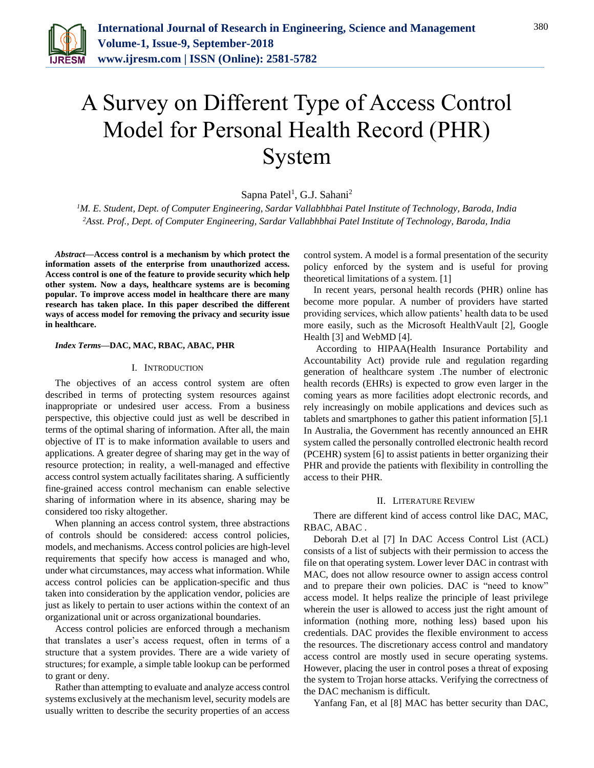

# A Survey on Different Type of Access Control Model for Personal Health Record (PHR) System

 $Sapna$  Patel<sup>1</sup>, G.J.  $Sahani<sup>2</sup>$ 

*<sup>1</sup>M. E. Student, Dept. of Computer Engineering, Sardar Vallabhbhai Patel Institute of Technology, Baroda, India <sup>2</sup>Asst. Prof., Dept. of Computer Engineering, Sardar Vallabhbhai Patel Institute of Technology, Baroda, India*

*Abstract***—Access control is a mechanism by which protect the information assets of the enterprise from unauthorized access. Access control is one of the feature to provide security which help other system. Now a days, healthcare systems are is becoming popular. To improve access model in healthcare there are many research has taken place. In this paper described the different ways of access model for removing the privacy and security issue in healthcare.** 

## *Index Terms***—DAC, MAC, RBAC, ABAC, PHR**

#### I. INTRODUCTION

The objectives of an access control system are often described in terms of protecting system resources against inappropriate or undesired user access. From a business perspective, this objective could just as well be described in terms of the optimal sharing of information. After all, the main objective of IT is to make information available to users and applications. A greater degree of sharing may get in the way of resource protection; in reality, a well-managed and effective access control system actually facilitates sharing. A sufficiently fine-grained access control mechanism can enable selective sharing of information where in its absence, sharing may be considered too risky altogether.

When planning an access control system, three abstractions of controls should be considered: access control policies, models, and mechanisms. Access control policies are high-level requirements that specify how access is managed and who, under what circumstances, may access what information. While access control policies can be application-specific and thus taken into consideration by the application vendor, policies are just as likely to pertain to user actions within the context of an organizational unit or across organizational boundaries.

Access control policies are enforced through a mechanism that translates a user's access request, often in terms of a structure that a system provides. There are a wide variety of structures; for example, a simple table lookup can be performed to grant or deny.

Rather than attempting to evaluate and analyze access control systems exclusively at the mechanism level, security models are usually written to describe the security properties of an access

control system. A model is a formal presentation of the security policy enforced by the system and is useful for proving theoretical limitations of a system. [1]

In recent years, personal health records (PHR) online has become more popular. A number of providers have started providing services, which allow patients' health data to be used more easily, such as the Microsoft HealthVault [2], Google Health [3] and WebMD [4].

According to HIPAA(Health Insurance Portability and Accountability Act) provide rule and regulation regarding generation of healthcare system .The number of electronic health records (EHRs) is expected to grow even larger in the coming years as more facilities adopt electronic records, and rely increasingly on mobile applications and devices such as tablets and smartphones to gather this patient information [5].1 In Australia, the Government has recently announced an EHR system called the personally controlled electronic health record (PCEHR) system [6] to assist patients in better organizing their PHR and provide the patients with flexibility in controlling the access to their PHR.

## II. LITERATURE REVIEW

There are different kind of access control like DAC, MAC, RBAC, ABAC .

Deborah D.et al [7] In DAC Access Control List (ACL) consists of a list of subjects with their permission to access the file on that operating system. Lower lever DAC in contrast with MAC, does not allow resource owner to assign access control and to prepare their own policies. DAC is "need to know" access model. It helps realize the principle of least privilege wherein the user is allowed to access just the right amount of information (nothing more, nothing less) based upon his credentials. DAC provides the flexible environment to access the resources. The discretionary access control and mandatory access control are mostly used in secure operating systems. However, placing the user in control poses a threat of exposing the system to Trojan horse attacks. Verifying the correctness of the DAC mechanism is difficult.

Yanfang Fan, et al [8] MAC has better security than DAC,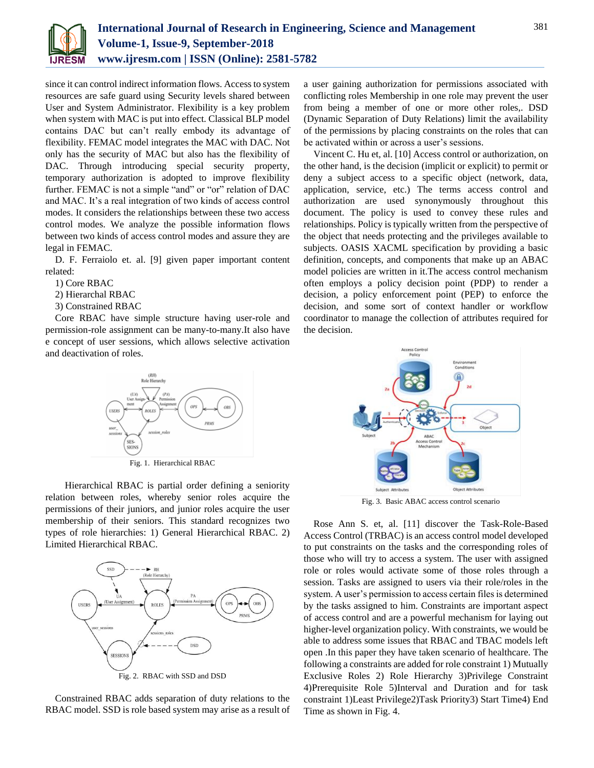

since it can control indirect information flows. Access to system resources are safe guard using Security levels shared between User and System Administrator. Flexibility is a key problem when system with MAC is put into effect. Classical BLP model contains DAC but can't really embody its advantage of flexibility. FEMAC model integrates the MAC with DAC. Not only has the security of MAC but also has the flexibility of DAC. Through introducing special security property, temporary authorization is adopted to improve flexibility further. FEMAC is not a simple "and" or "or" relation of DAC and MAC. It's a real integration of two kinds of access control modes. It considers the relationships between these two access control modes. We analyze the possible information flows between two kinds of access control modes and assure they are legal in FEMAC.

D. F. Ferraiolo et. al. [9] given paper important content related:

1) Core RBAC

2) Hierarchal RBAC

3) Constrained RBAC

Core RBAC have simple structure having user-role and permission-role assignment can be many-to-many.It also have e concept of user sessions, which allows selective activation and deactivation of roles.



Fig. 1. Hierarchical RBAC

 Hierarchical RBAC is partial order defining a seniority relation between roles, whereby senior roles acquire the permissions of their juniors, and junior roles acquire the user membership of their seniors. This standard recognizes two types of role hierarchies: 1) General Hierarchical RBAC. 2) Limited Hierarchical RBAC.



Constrained RBAC adds separation of duty relations to the RBAC model. SSD is role based system may arise as a result of a user gaining authorization for permissions associated with conflicting roles Membership in one role may prevent the user from being a member of one or more other roles,. DSD (Dynamic Separation of Duty Relations) limit the availability of the permissions by placing constraints on the roles that can be activated within or across a user's sessions.

Vincent C. Hu et, al. [10] Access control or authorization, on the other hand, is the decision (implicit or explicit) to permit or deny a subject access to a specific object (network, data, application, service, etc.) The terms access control and authorization are used synonymously throughout this document. The policy is used to convey these rules and relationships. Policy is typically written from the perspective of the object that needs protecting and the privileges available to subjects. OASIS XACML specification by providing a basic definition, concepts, and components that make up an ABAC model policies are written in it.The access control mechanism often employs a policy decision point (PDP) to render a decision, a policy enforcement point (PEP) to enforce the decision, and some sort of context handler or workflow coordinator to manage the collection of attributes required for the decision.



Fig. 3. Basic ABAC access control scenario

Rose Ann S. et, al. [11] discover the Task-Role-Based Access Control (TRBAC) is an access control model developed to put constraints on the tasks and the corresponding roles of those who will try to access a system. The user with assigned role or roles would activate some of those roles through a session. Tasks are assigned to users via their role/roles in the system. A user's permission to access certain files is determined by the tasks assigned to him. Constraints are important aspect of access control and are a powerful mechanism for laying out higher-level organization policy. With constraints, we would be able to address some issues that RBAC and TBAC models left open .In this paper they have taken scenario of healthcare. The following a constraints are added for role constraint 1) Mutually Exclusive Roles 2) Role Hierarchy 3)Privilege Constraint 4)Prerequisite Role 5)Interval and Duration and for task constraint 1)Least Privilege2)Task Priority3) Start Time4) End Time as shown in Fig. 4.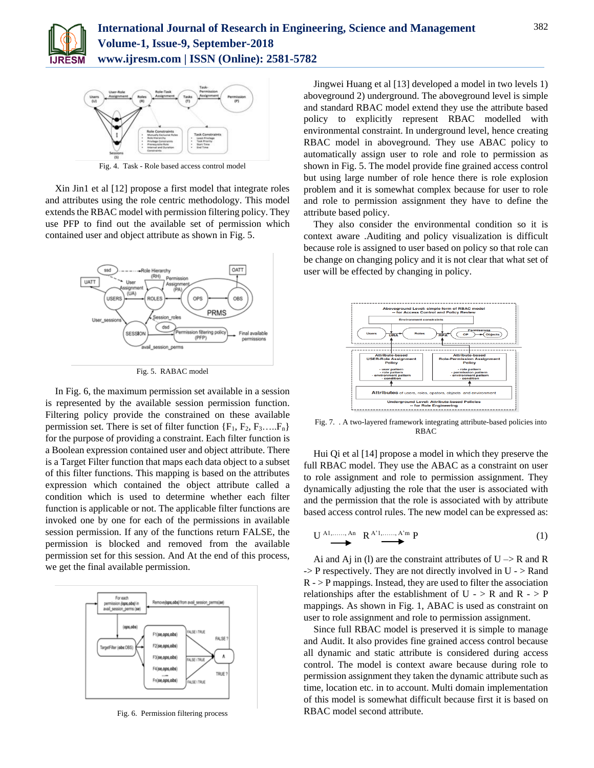



Fig. 4. Task - Role based access control model

Xin Jin1 et al [12] propose a first model that integrate roles and attributes using the role centric methodology. This model extends the RBAC model with permission filtering policy. They use PFP to find out the available set of permission which contained user and object attribute as shown in Fig. 5.



Fig. 5. RABAC model

In Fig. 6, the maximum permission set available in a session is represented by the available session permission function. Filtering policy provide the constrained on these available permission set. There is set of filter function  ${F_1, F_2, F_3, \ldots, F_n}$ for the purpose of providing a constraint. Each filter function is a Boolean expression contained user and object attribute. There is a Target Filter function that maps each data object to a subset of this filter functions. This mapping is based on the attributes expression which contained the object attribute called a condition which is used to determine whether each filter function is applicable or not. The applicable filter functions are invoked one by one for each of the permissions in available session permission. If any of the functions return FALSE, the permission is blocked and removed from the available permission set for this session. And At the end of this process, we get the final available permission.



Fig. 6. Permission filtering process

Jingwei Huang et al [13] developed a model in two levels 1) aboveground 2) underground. The aboveground level is simple and standard RBAC model extend they use the attribute based policy to explicitly represent RBAC modelled with environmental constraint. In underground level, hence creating RBAC model in aboveground. They use ABAC policy to automatically assign user to role and role to permission as shown in Fig. 5. The model provide fine grained access control but using large number of role hence there is role explosion problem and it is somewhat complex because for user to role and role to permission assignment they have to define the attribute based policy.

They also consider the environmental condition so it is context aware .Auditing and policy visualization is difficult because role is assigned to user based on policy so that role can be change on changing policy and it is not clear that what set of user will be effected by changing in policy.



Fig. 7. . A two-layered framework integrating attribute-based policies into RBAC

Hui Qi et al [14] propose a model in which they preserve the full RBAC model. They use the ABAC as a constraint on user to role assignment and role to permission assignment. They dynamically adjusting the role that the user is associated with and the permission that the role is associated with by attribute based access control rules. The new model can be expressed as:

$$
\underbrace{\mathbf{U} \xrightarrow{\mathbf{A}_1, \dots, \mathbf{A}_n} \mathbf{R}^{\mathbf{A}^{\prime}1, \dots, \mathbf{A}^{\prime}m} \mathbf{P}} \tag{1}
$$

Ai and Aj in (1) are the constraint attributes of  $U \rightarrow R$  and R  $\Rightarrow$  P respectively. They are not directly involved in U -  $\gt$  Rand  $R$  -  $>$  P mappings. Instead, they are used to filter the association relationships after the establishment of U -  $>$  R and R -  $>$  P mappings. As shown in Fig. 1, ABAC is used as constraint on user to role assignment and role to permission assignment.

Since full RBAC model is preserved it is simple to manage and Audit. It also provides fine grained access control because all dynamic and static attribute is considered during access control. The model is context aware because during role to permission assignment they taken the dynamic attribute such as time, location etc. in to account. Multi domain implementation of this model is somewhat difficult because first it is based on RBAC model second attribute.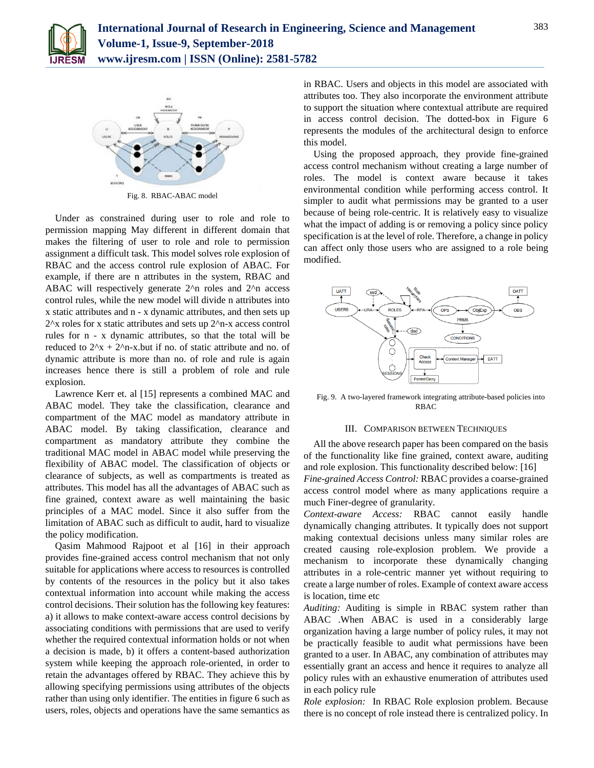



Fig. 8. RBAC-ABAC model

Under as constrained during user to role and role to permission mapping May different in different domain that makes the filtering of user to role and role to permission assignment a difficult task. This model solves role explosion of RBAC and the access control rule explosion of ABAC. For example, if there are n attributes in the system, RBAC and ABAC will respectively generate 2^n roles and 2^n access control rules, while the new model will divide n attributes into x static attributes and n - x dynamic attributes, and then sets up 2^x roles for x static attributes and sets up 2^n-x access control rules for n - x dynamic attributes, so that the total will be reduced to  $2^x + 2^x - x$ .but if no. of static attribute and no. of dynamic attribute is more than no. of role and rule is again increases hence there is still a problem of role and rule explosion.

Lawrence Kerr et. al [15] represents a combined MAC and ABAC model. They take the classification, clearance and compartment of the MAC model as mandatory attribute in ABAC model. By taking classification, clearance and compartment as mandatory attribute they combine the traditional MAC model in ABAC model while preserving the flexibility of ABAC model. The classification of objects or clearance of subjects, as well as compartments is treated as attributes. This model has all the advantages of ABAC such as fine grained, context aware as well maintaining the basic principles of a MAC model. Since it also suffer from the limitation of ABAC such as difficult to audit, hard to visualize the policy modification.

Qasim Mahmood Rajpoot et al [16] in their approach provides fine-grained access control mechanism that not only suitable for applications where access to resources is controlled by contents of the resources in the policy but it also takes contextual information into account while making the access control decisions. Their solution has the following key features: a) it allows to make context-aware access control decisions by associating conditions with permissions that are used to verify whether the required contextual information holds or not when a decision is made, b) it offers a content-based authorization system while keeping the approach role-oriented, in order to retain the advantages offered by RBAC. They achieve this by allowing specifying permissions using attributes of the objects rather than using only identifier. The entities in figure 6 such as users, roles, objects and operations have the same semantics as

in RBAC. Users and objects in this model are associated with attributes too. They also incorporate the environment attribute to support the situation where contextual attribute are required in access control decision. The dotted-box in Figure 6 represents the modules of the architectural design to enforce this model.

Using the proposed approach, they provide fine-grained access control mechanism without creating a large number of roles. The model is context aware because it takes environmental condition while performing access control. It simpler to audit what permissions may be granted to a user because of being role-centric. It is relatively easy to visualize what the impact of adding is or removing a policy since policy specification is at the level of role. Therefore, a change in policy can affect only those users who are assigned to a role being modified.



Fig. 9. A two-layered framework integrating attribute-based policies into RBAC

## III. COMPARISON BETWEEN TECHNIQUES

All the above research paper has been compared on the basis of the functionality like fine grained, context aware, auditing and role explosion. This functionality described below: [16] *Fine-grained Access Control:* RBAC provides a coarse-grained access control model where as many applications require a much Finer-degree of granularity.

*Context-aware Access:* RBAC cannot easily handle dynamically changing attributes. It typically does not support making contextual decisions unless many similar roles are created causing role-explosion problem. We provide a mechanism to incorporate these dynamically changing attributes in a role-centric manner yet without requiring to create a large number of roles. Example of context aware access is location, time etc

*Auditing:* Auditing is simple in RBAC system rather than ABAC .When ABAC is used in a considerably large organization having a large number of policy rules, it may not be practically feasible to audit what permissions have been granted to a user. In ABAC, any combination of attributes may essentially grant an access and hence it requires to analyze all policy rules with an exhaustive enumeration of attributes used in each policy rule

*Role explosion:* In RBAC Role explosion problem. Because there is no concept of role instead there is centralized policy. In